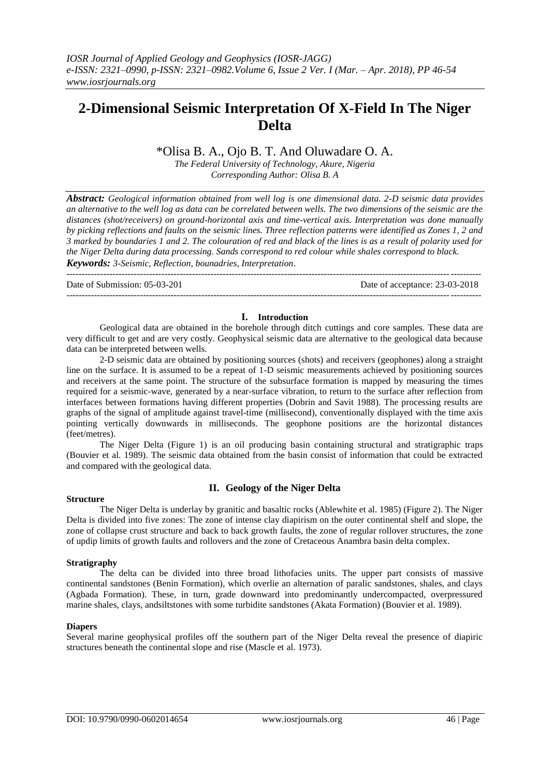# **2-Dimensional Seismic Interpretation Of X-Field In The Niger Delta**

# \*Olisa B. A., Ojo B. T. And Oluwadare O. A.

*The Federal University of Technology, Akure, Nigeria Corresponding Author: Olisa B. A*

*Abstract: Geological information obtained from well log is one dimensional data. 2-D seismic data provides an alternative to the well log as data can be correlated between wells. The two dimensions of the seismic are the distances (shot/receivers) on ground-horizontal axis and time-vertical axis. Interpretation was done manually by picking reflections and faults on the seismic lines. Three reflection patterns were identified as Zones 1, 2 and 3 marked by boundaries 1 and 2. The colouration of red and black of the lines is as a result of polarity used for the Niger Delta during data processing. Sands correspond to red colour while shales correspond to black. Keywords: 3-Seismic, Reflection, bounadries, Interpretation*.

---------------------------------------------------------------------------------------------------------------------------------------

Date of Submission: 05-03-201 Date of acceptance: 23-03-2018

#### --------------------------------------------------------------------------------------------------------------------------------------*-*

#### **I. Introduction**

Geological data are obtained in the borehole through ditch cuttings and core samples. These data are very difficult to get and are very costly. Geophysical seismic data are alternative to the geological data because data can be interpreted between wells.

2-D seismic data are obtained by positioning sources (shots) and receivers (geophones) along a straight line on the surface. It is assumed to be a repeat of 1-D seismic measurements achieved by positioning sources and receivers at the same point. The structure of the subsurface formation is mapped by measuring the times required for a seismic-wave, generated by a near-surface vibration, to return to the surface after reflection from interfaces between formations having different properties (Dobrin and Savit 1988). The processing results are graphs of the signal of amplitude against travel-time (millisecond), conventionally displayed with the time axis pointing vertically downwards in milliseconds. The geophone positions are the horizontal distances (feet/metres).

The Niger Delta (Figure 1) is an oil producing basin containing structural and stratigraphic traps (Bouvier et al. 1989). The seismic data obtained from the basin consist of information that could be extracted and compared with the geological data.

# **Structure**

# **II. Geology of the Niger Delta**

The Niger Delta is underlay by granitic and basaltic rocks (Ablewhite et al. 1985) (Figure 2). The Niger Delta is divided into five zones: The zone of intense clay diapirism on the outer continental shelf and slope, the zone of collapse crust structure and back to back growth faults, the zone of regular rollover structures, the zone of updip limits of growth faults and rollovers and the zone of Cretaceous Anambra basin delta complex.

# **Stratigraphy**

The delta can be divided into three broad lithofacies units. The upper part consists of massive continental sandstones (Benin Formation), which overlie an alternation of paralic sandstones, shales, and clays (Agbada Formation). These, in turn, grade downward into predominantly undercompacted, overpressured marine shales, clays, andsiltstones with some turbidite sandstones (Akata Formation) (Bouvier et al. 1989).

# **Diapers**

Several marine geophysical profiles off the southern part of the Niger Delta reveal the presence of diapiric structures beneath the continental slope and rise (Mascle et al. 1973).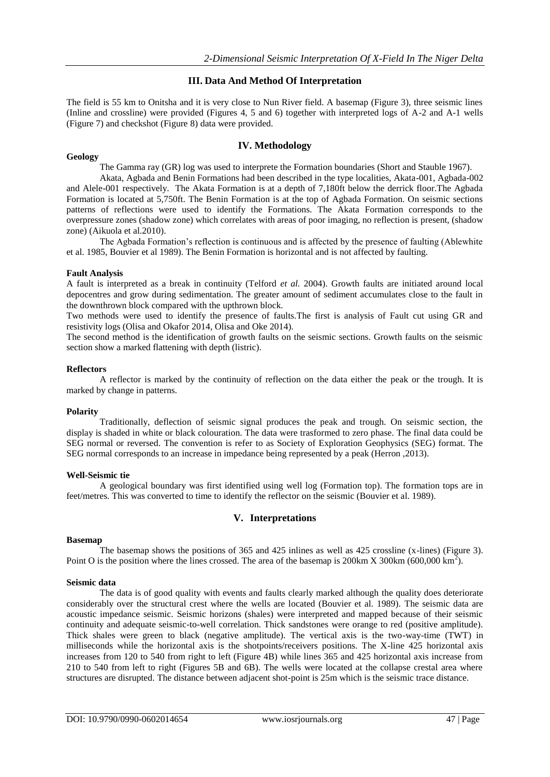# **III. Data And Method Of Interpretation**

The field is 55 km to Onitsha and it is very close to Nun River field. A basemap (Figure 3), three seismic lines (Inline and crossline) were provided (Figures 4, 5 and 6) together with interpreted logs of A-2 and A-1 wells (Figure 7) and checkshot (Figure 8) data were provided.

# **IV. Methodology**

#### **Geology**

The Gamma ray (GR) log was used to interprete the Formation boundaries (Short and Stauble 1967).

Akata, Agbada and Benin Formations had been described in the type localities, Akata-001, Agbada-002 and Alele-001 respectively. The Akata Formation is at a depth of 7,180ft below the derrick floor.The Agbada Formation is located at 5,750ft. The Benin Formation is at the top of Agbada Formation. On seismic sections patterns of reflections were used to identify the Formations. The Akata Formation corresponds to the overpressure zones (shadow zone) which correlates with areas of poor imaging, no reflection is present, (shadow zone) (Aikuola et al.2010).

The Agbada Formation's reflection is continuous and is affected by the presence of faulting (Ablewhite et al. 1985, Bouvier et al 1989). The Benin Formation is horizontal and is not affected by faulting.

# **Fault Analysis**

A fault is interpreted as a break in continuity (Telford *et al.* 2004). Growth faults are initiated around local depocentres and grow during sedimentation. The greater amount of sediment accumulates close to the fault in the downthrown block compared with the upthrown block.

Two methods were used to identify the presence of faults.The first is analysis of Fault cut using GR and resistivity logs (Olisa and Okafor 2014, Olisa and Oke 2014).

The second method is the identification of growth faults on the seismic sections. Growth faults on the seismic section show a marked flattening with depth (listric).

#### **Reflectors**

A reflector is marked by the continuity of reflection on the data either the peak or the trough. It is marked by change in patterns.

# **Polarity**

Traditionally, deflection of seismic signal produces the peak and trough. On seismic section, the display is shaded in white or black colouration. The data were trasformed to zero phase. The final data could be SEG normal or reversed. The convention is refer to as Society of Exploration Geophysics (SEG) format. The SEG normal corresponds to an increase in impedance being represented by a peak (Herron ,2013).

# **Well-Seismic tie**

A geological boundary was first identified using well log (Formation top). The formation tops are in feet/metres. This was converted to time to identify the reflector on the seismic (Bouvier et al. 1989).

# **V. Interpretations**

#### **Basemap**

The basemap shows the positions of 365 and 425 inlines as well as 425 crossline (x-lines) (Figure 3). Point O is the position where the lines crossed. The area of the basemap is 200km X 300km (600,000 km<sup>2</sup>).

# **Seismic data**

The data is of good quality with events and faults clearly marked although the quality does deteriorate considerably over the structural crest where the wells are located (Bouvier et al. 1989). The seismic data are acoustic impedance seismic. Seismic horizons (shales) were interpreted and mapped because of their seismic continuity and adequate seismic-to-well correlation. Thick sandstones were orange to red (positive amplitude). Thick shales were green to black (negative amplitude). The vertical axis is the two-way-time (TWT) in milliseconds while the horizontal axis is the shotpoints/receivers positions. The X-line 425 horizontal axis increases from 120 to 540 from right to left (Figure 4B) while lines 365 and 425 horizontal axis increase from 210 to 540 from left to right (Figures 5B and 6B). The wells were located at the collapse crestal area where structures are disrupted. The distance between adjacent shot-point is 25m which is the seismic trace distance.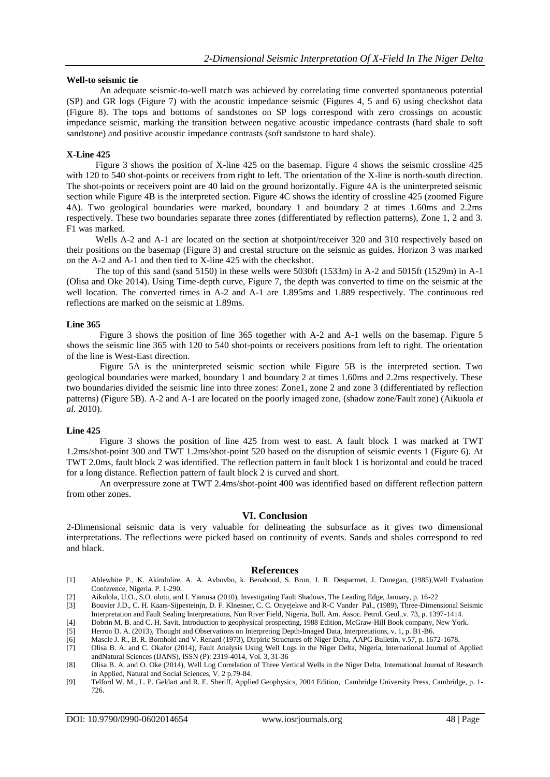#### **Well-to seismic tie**

An adequate seismic-to-well match was achieved by correlating time converted spontaneous potential (SP) and GR logs (Figure 7) with the acoustic impedance seismic (Figures 4, 5 and 6) using checkshot data (Figure 8). The tops and bottoms of sandstones on SP logs correspond with zero crossings on acoustic impedance seismic, marking the transition between negative acoustic impedance contrasts (hard shale to soft sandstone) and positive acoustic impedance contrasts (soft sandstone to hard shale).

#### **X-Line 425**

Figure 3 shows the position of X-line 425 on the basemap. Figure 4 shows the seismic crossline 425 with 120 to 540 shot-points or receivers from right to left. The orientation of the X-line is north-south direction. The shot-points or receivers point are 40 laid on the ground horizontally. Figure 4A is the uninterpreted seismic section while Figure 4B is the interpreted section. Figure 4C shows the identity of crossline 425 (zoomed Figure 4A). Two geological boundaries were marked, boundary 1 and boundary 2 at times 1.60ms and 2.2ms respectively. These two boundaries separate three zones (differentiated by reflection patterns), Zone 1, 2 and 3. F1 was marked.

Wells A-2 and A-1 are located on the section at shotpoint/receiver 320 and 310 respectively based on their positions on the basemap (Figure 3) and crestal structure on the seismic as guides. Horizon 3 was marked on the A-2 and A-1 and then tied to X-line 425 with the checkshot.

The top of this sand (sand 5150) in these wells were 5030ft (1533m) in A-2 and 5015ft (1529m) in A-1 (Olisa and Oke 2014). Using Time-depth curve, Figure 7, the depth was converted to time on the seismic at the well location. The converted times in A-2 and A-1 are 1.895ms and 1.889 respectively. The continuous red reflections are marked on the seismic at 1.89ms.

#### **Line 365**

Figure 3 shows the position of line 365 together with A-2 and A-1 wells on the basemap. Figure 5 shows the seismic line 365 with 120 to 540 shot-points or receivers positions from left to right. The orientation of the line is West-East direction.

Figure 5A is the uninterpreted seismic section while Figure 5B is the interpreted section. Two geological boundaries were marked, boundary 1 and boundary 2 at times 1.60ms and 2.2ms respectively. These two boundaries divided the seismic line into three zones: Zone1, zone 2 and zone 3 (differentiated by reflection patterns) (Figure 5B). A-2 and A-1 are located on the poorly imaged zone, (shadow zone/Fault zone) (Aikuola *et al.* 2010).

#### **Line 425**

Figure 3 shows the position of line 425 from west to east. A fault block 1 was marked at TWT 1.2ms/shot-point 300 and TWT 1.2ms/shot-point 520 based on the disruption of seismic events 1 (Figure 6). At TWT 2.0ms, fault block 2 was identified. The reflection pattern in fault block 1 is horizontal and could be traced for a long distance. Reflection pattern of fault block 2 is curved and short.

An overpressure zone at TWT 2.4ms/shot-point 400 was identified based on different reflection pattern from other zones.

#### **VI. Conclusion**

2-Dimensional seismic data is very valuable for delineating the subsurface as it gives two dimensional interpretations. The reflections were picked based on continuity of events. Sands and shales correspond to red and black.

#### **References**

- [1] Ablewhite P., K. Akindolire, A. A. Avbovbo, k. Benaboud, S. Brun, J. R. Desparmet, J. Donegan, (1985),Well Evaluation Conference, Nigeria. P. 1-290.
- [2] Aikulola, U.O., S.O. olotu, and I. Yamusa (2010), Investigating Fault Shadows, The Leading Edge, January, p. 16-22
- [3] Bouvier J.D., C. H. Kaars-Sijpesteinjn, D. F. Klnesner, C. C. Onyejekwe and R-C Vander Pal., (1989), Three-Dimensional Seismic Interpretation and Fault Sealing Interpretations, Nun River Field, Nigeria, Bull. Am. Assoc. Petrol. Geol.,v. 73, p. 1397-1414.
- [4] Dobrin M. B. and C. H. Savit, Introduction to geophysical prospecting, 1988 Edition, McGraw-Hill Book company, New York.
- [5] Herron D. A. (2013), Thought and Observations on Interpreting Depth-Imaged Data, Interpretations, v. 1, p. B1-B6.
- [6] Mascle J. R., B. R. Bornhold and V. Renard (1973), Dirpiric Structures off Niger Delta, AAPG Bulletin, v.57, p. 1672-1678.

[7] Olisa B. A. and C. Okafor (2014), Fault Analysis Using Well Logs in the Niger Delta, Nigeria, International Journal of Applied andNatural Sciences (IJANS), ISSN (P): 2319-4014, Vol. 3, 31-36

<sup>[8]</sup> Olisa B. A. and O. Oke (2014), Well Log Correlation of Three Vertical Wells in the Niger Delta, International Journal of Research in Applied, Natural and Social Sciences, V. 2 p.79-84.

<sup>[9]</sup> Telford W. M., L. P. Geldart and R. E. Sheriff, Applied Geophysics, 2004 Edition, Cambridge University Press, Cambridge, p. 1- 726.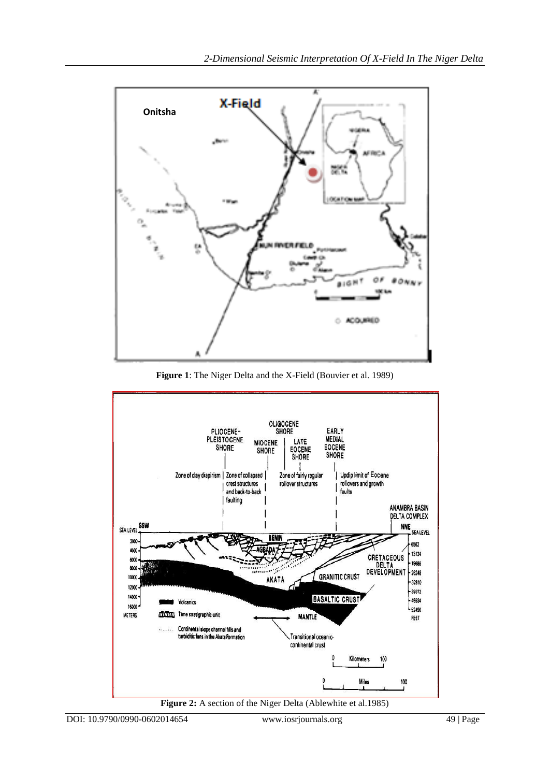

**Figure 1**: The Niger Delta and the X-Field (Bouvier et al. 1989)

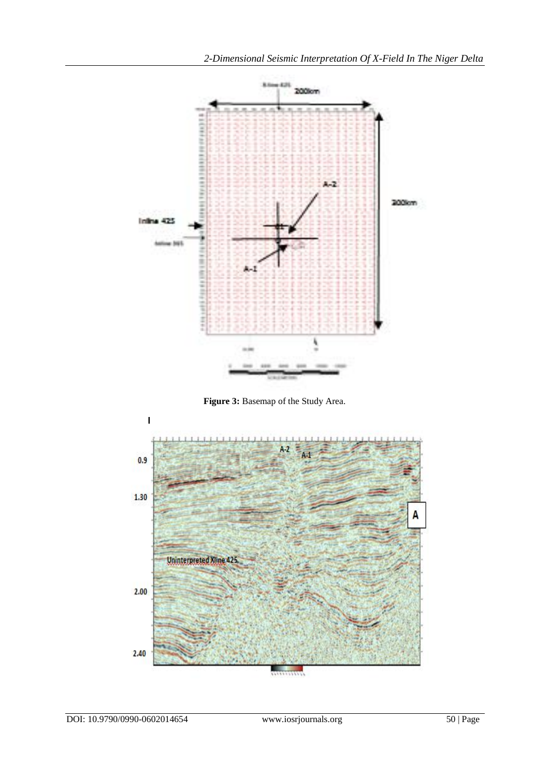

**Figure 3:** Basemap of the Study Area.

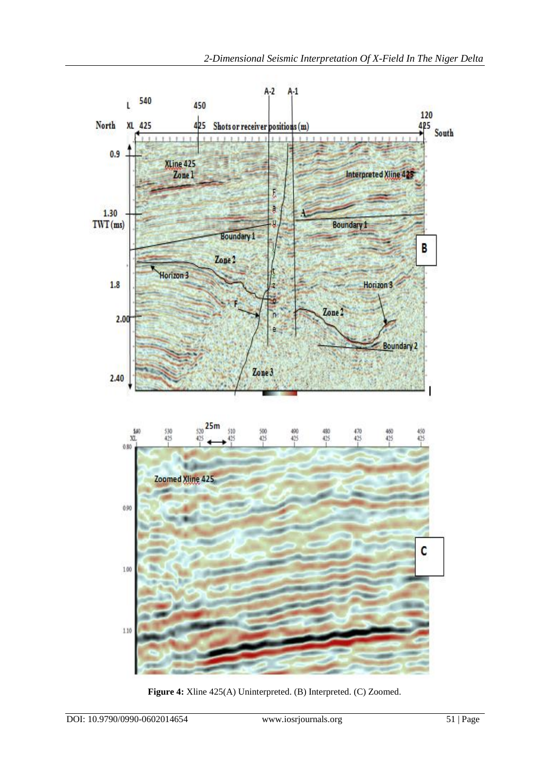

**Figure 4:** Xline 425(A) Uninterpreted. (B) Interpreted. (C) Zoomed.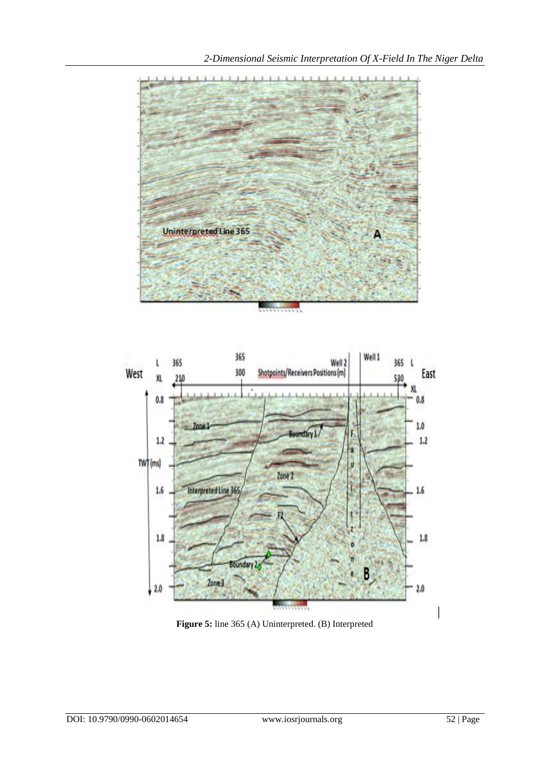



**Figure 5:** line 365 (A) Uninterpreted. (B) Interpreted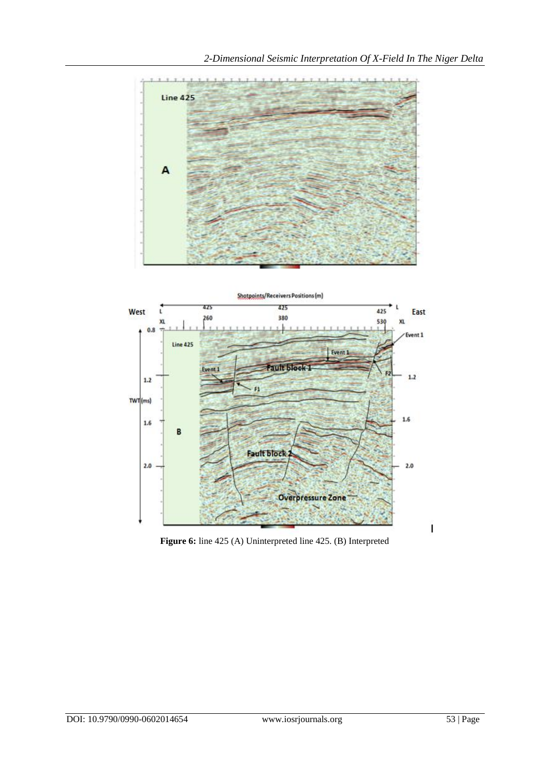